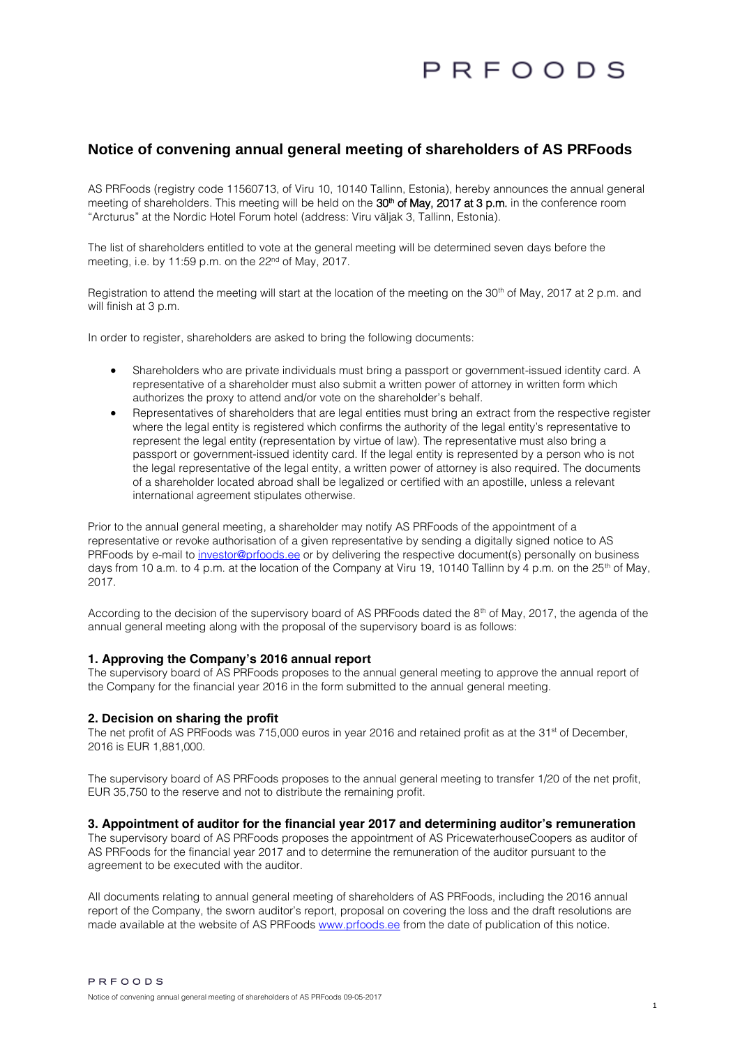# PREOODS

## **Notice of convening annual general meeting of shareholders of AS PRFoods**

AS PRFoods (registry code 11560713, of Viru 10, 10140 Tallinn, Estonia), hereby announces the annual general meeting of shareholders. This meeting will be held on the 30<sup>th</sup> of May, 2017 at 3 p.m. in the conference room "Arcturus" at the Nordic Hotel Forum hotel (address: Viru väljak 3, Tallinn, Estonia).

The list of shareholders entitled to vote at the general meeting will be determined seven days before the meeting, i.e. by 11:59 p.m. on the 22<sup>nd</sup> of May, 2017.

Registration to attend the meeting will start at the location of the meeting on the  $30<sup>th</sup>$  of May, 2017 at 2 p.m. and will finish at 3 p.m.

In order to register, shareholders are asked to bring the following documents:

- Shareholders who are private individuals must bring a passport or government-issued identity card. A representative of a shareholder must also submit a written power of attorney in written form which authorizes the proxy to attend and/or vote on the shareholder's behalf.
- Representatives of shareholders that are legal entities must bring an extract from the respective register where the legal entity is registered which confirms the authority of the legal entity's representative to represent the legal entity (representation by virtue of law). The representative must also bring a passport or government-issued identity card. If the legal entity is represented by a person who is not the legal representative of the legal entity, a written power of attorney is also required. The documents of a shareholder located abroad shall be legalized or certified with an apostille, unless a relevant international agreement stipulates otherwise.

Prior to the annual general meeting, a shareholder may notify AS PRFoods of the appointment of a representative or revoke authorisation of a given representative by sending a digitally signed notice to AS PRFoods by e-mail to [investor@prfoods.ee](mailto:investor@prfoods.ee) or by delivering the respective document(s) personally on business days from 10 a.m. to 4 p.m. at the location of the Company at Viru 19, 10140 Tallinn by 4 p.m. on the 25<sup>th</sup> of May, 2017.

According to the decision of the supervisory board of AS PRFoods dated the  $8<sup>th</sup>$  of May, 2017, the agenda of the annual general meeting along with the proposal of the supervisory board is as follows:

#### **1. Approving the Company's 2016 annual report**

The supervisory board of AS PRFoods proposes to the annual general meeting to approve the annual report of the Company for the financial year 2016 in the form submitted to the annual general meeting.

#### **2. Decision on sharing the profit**

The net profit of AS PRFoods was 715,000 euros in year 2016 and retained profit as at the 31<sup>st</sup> of December, 2016 is EUR 1,881,000.

The supervisory board of AS PRFoods proposes to the annual general meeting to transfer 1/20 of the net profit, EUR 35,750 to the reserve and not to distribute the remaining profit.

### **3. Appointment of auditor for the financial year 2017 and determining auditor's remuneration**

The supervisory board of AS PRFoods proposes the appointment of AS PricewaterhouseCoopers as auditor of AS PRFoods for the financial year 2017 and to determine the remuneration of the auditor pursuant to the agreement to be executed with the auditor.

All documents relating to annual general meeting of shareholders of AS PRFoods, including the 2016 annual report of the Company, the sworn auditor's report, proposal on covering the loss and the draft resolutions are made available at the website of AS PRFoods [www.prfoods.ee](http://www.prfoods.ee/investor-relations/shareholders-meetings/2016) from the date of publication of this notice.